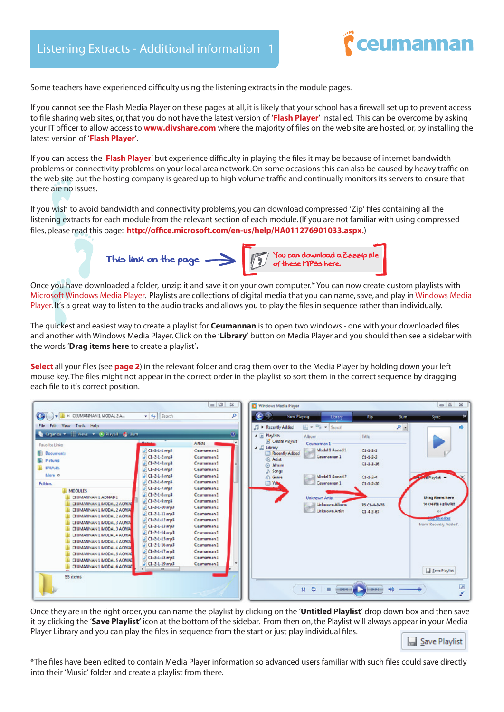

Some teachers have experienced difficulty using the listening extracts in the module pages.

If you cannot see the Flash Media Player on these pages at all, it is likely that your school has a firewall set up to prevent access to file sharing web sites, or, that you do not have the latest version of '**[Flash Player](http://get.adobe.com/flashplayer/)**' installed. This can be overcome by asking your IT officer to allow access to **[www.divshare.com](http://www.divshare.com)** where the majority of files on the web site are hosted, or, by installing the latest version of '**[Flash Player](http://get.adobe.com/flashplayer/)**'.

If you can access the '**[Flash Player](http://get.adobe.com/flashplayer/)**' but experience difficulty in playing the files it may be because of internet bandwidth problems or connectivity problems on your local area network. On some occasions this can also be caused by heavy traffic on the web site but the hosting company is geared up to high volume traffic and continually monitors its servers to ensure that there are no issues.

If you wish to avoid bandwidth and connectivity problems, you can download compressed 'Zip' files containing all the listening extracts for each module from the relevant section of each module. (If you are not familiar with using compressed files, please read this page: **<http://office.microsoft.com/en-us/help/HA011276901033.aspx>.**)



Once you have downloaded a folder, unzip it and save it on your own computer.\* You can now create custom playlists with [Microsoft Windows Media Player.](http://windows.microsoft.com/en-US/windows7/products/features/windows-media-player-12) Playlists are collections of digital media that you can name, save, and play in Windows Media Player. It's a great way to listen to the audio tracks and allows you to play the files in sequence rather than individually.

The quickest and easiest way to create a playlist for **Ceumannan** is to open two windows - one with your downloaded files and another with Windows Media Player. Click on the '**Library**' button on Media Player and you should then see a sidebar with the words '**Drag items here** to create a playlist'**.** 

**[Select](#page-1-0)** all your files (see **[page 2](#page-1-0)**) in the relevant folder and drag them over to the Media Player by holding down your left mouse key. The files might not appear in the correct order in the playlist so sort them in the correct sequence by dragging each file to it's correct position.

|                                                                                                                                                                                                                                                                                                                                                                                                                                                                                                       |                                                                                                                                                                                                                                                                                                                                                                                                                                                   | $= 0 3$                                                                                                                                                                                                                                                                                 | Windows Madia Player                                                                                                                                                                                                                                                                                                                                                                                                                                                                                    | $\circ$ $\leq$ 2                                                                                                  |
|-------------------------------------------------------------------------------------------------------------------------------------------------------------------------------------------------------------------------------------------------------------------------------------------------------------------------------------------------------------------------------------------------------------------------------------------------------------------------------------------------------|---------------------------------------------------------------------------------------------------------------------------------------------------------------------------------------------------------------------------------------------------------------------------------------------------------------------------------------------------------------------------------------------------------------------------------------------------|-----------------------------------------------------------------------------------------------------------------------------------------------------------------------------------------------------------------------------------------------------------------------------------------|---------------------------------------------------------------------------------------------------------------------------------------------------------------------------------------------------------------------------------------------------------------------------------------------------------------------------------------------------------------------------------------------------------------------------------------------------------------------------------------------------------|-------------------------------------------------------------------------------------------------------------------|
| <b>CHICA - E « CEUMANNAN1 MODAL 2 A.</b>                                                                                                                                                                                                                                                                                                                                                                                                                                                              | $v = 4 + 3$ Search                                                                                                                                                                                                                                                                                                                                                                                                                                | p                                                                                                                                                                                                                                                                                       | New Straing<br><b>Sum</b><br><b>Uars</b> y<br>Rip.                                                                                                                                                                                                                                                                                                                                                                                                                                                      | <b>Sync</b>                                                                                                       |
| File Edit View Tools Help                                                                                                                                                                                                                                                                                                                                                                                                                                                                             |                                                                                                                                                                                                                                                                                                                                                                                                                                                   |                                                                                                                                                                                                                                                                                         | $E = \frac{m_1}{2}$ - Secret<br>$P =$<br>A P. Recently Added                                                                                                                                                                                                                                                                                                                                                                                                                                            |                                                                                                                   |
| Crowns . Il West . O Payot C Sum<br><b>Rayoutre Links</b><br><b>Documents</b><br><b>R</b> Pictures<br><b>ENDUES</b><br>Mare 39<br><b>Fedders</b><br>MODULES<br>CEUMANINAN LADNAD L<br>CEUMANNAN 1 MODAL 2 AONAE<br>CEUMANNAN 1 MODAL 2 AONA<br>CEUMANNAN 1 MODAL 2 AONA<br>CEUMANNAN E MODAL 3 AONA<br>CEUMANNAN 1 MODAL 3 AONA<br>CEUMANNAN LIMODAL4 AONA<br>CEUMANNAN 1 MODAL4 AONA<br>CEUMANNAN 1 MODAL4 AONA<br>CEUMANNAN LIMODALS AONAE<br>CEUMANNAN 1 MODAL 5 AONAE<br>CEUMANNANT MODAL 6 AONAE | $ CL-2.1.1$ mp3<br>$J$ Cl-2-1-2 mp3<br>$20 - 24 - 3$ mp3<br>$5 C1-2-1-4$ mp3<br>$J (1 - 2 - 1 - 5 \text{ m/s})$<br>$5 C1-2.1.6$ mp3<br>$J$ Cl-2-1-7 mp3<br>$1C1-2-1-8$ mp3<br>$ J $ Cl -2-1-9 mp3<br>$5 C1-2-1-10$ mp3<br>$J$ Cl-2-1-11 mp3<br>$S$ $(1-2-1+1)$ mpl<br>$ J C1-2-1-12$ angel<br>$C1 - 2 - 1 - 14$ angel<br>$ J $ Cl-2-1-15 mp3<br>$ J $ Cl-2-1-16 mg3<br>$5 C1-2-1-17 = 03$<br>$J$ Cl-2-1-18 mp3<br>$J (1.2.1.19 \text{ m/s})$<br>m | ø<br>Aniste<br>Courteman 1<br>Coumannan1<br>Ceurseman1<br>Coumannand<br>Courteman1<br>Ce mannan1<br>Ceumannan1<br>Ceumennan1<br>Ceumannan I<br>Caumannand<br>Coumannan1<br>Ce mwnan1<br>Ceumannan1<br>Ceumennan1<br>Ceumannan1<br>Ceumannan1<br>Coursemen1<br>Caumannan I<br>Coumannan1 | $A \equiv$ Playfists<br><b>Title</b><br>Album.<br><b>B</b> Create Players<br>Coumannan 1<br>$\Box$ Library<br>Model1 Anned1<br>$C1 - 1 - 1 - 1$<br>Recently Added<br>Ceumannan 1<br>$C1 - 1 - 2 - 2$<br><b>&amp;</b> Artist<br>$C1 - 1 - 1 - 16$<br>@ Mhom<br>Ji Songs<br>Model 1 Annual 2<br>$C1 - 1 - 2 - 4$<br>ed Playfist -<br><b>Come</b><br>Courrainnan 1<br>$\Box$ Yells<br>$C1 - 3 - 20$<br><b>Unichourn Artist</b><br>Urkeown Album<br>25 (1-4-3-76)<br><b>Unknown Artist</b><br>$C1.4 - 3.67$ | <b>Drag items here</b><br>to create a playlist<br><b>MAY 12 vorites</b><br>from 'Recently Added'.<br>Sive Playlet |
| 55 items                                                                                                                                                                                                                                                                                                                                                                                                                                                                                              |                                                                                                                                                                                                                                                                                                                                                                                                                                                   |                                                                                                                                                                                                                                                                                         | $N$ $\sigma$<br>٠                                                                                                                                                                                                                                                                                                                                                                                                                                                                                       | 呐                                                                                                                 |

Once they are in the right order, you can name the playlist by clicking on the '**Untitled Playlist**' drop down box and then save it by clicking the '**Save Playlist'** icon at the bottom of the sidebar. From then on, the Playlist will always appear in your Media Player Library and you can play the files in sequence from the start or just play individual files.



\*The files have been edited to contain Media Player information so advanced users familiar with such files could save directly into their 'Music' folder and create a playlist from there.